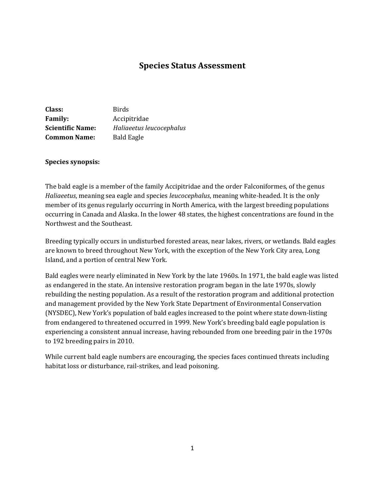# **Species Status Assessment**

| Class:                  | <b>Birds</b>             |
|-------------------------|--------------------------|
| <b>Family:</b>          | Accipitridae             |
| <b>Scientific Name:</b> | Haliaeetus leucocephalus |
| <b>Common Name:</b>     | <b>Bald Eagle</b>        |

#### **Species synopsis:**

The bald eagle is a member of the family Accipitridae and the order Falconiformes, of the genus *Haliaeetus*, meaning sea eagle and species *leucocephalus*, meaning white-headed. It is the only member of its genus regularly occurring in North America, with the largest breeding populations occurring in Canada and Alaska. In the lower 48 states, the highest concentrations are found in the Northwest and the Southeast.

Breeding typically occurs in undisturbed forested areas, near lakes, rivers, or wetlands. Bald eagles are known to breed throughout New York, with the exception of the New York City area, Long Island, and a portion of central New York.

Bald eagles were nearly eliminated in New York by the late 1960s. In 1971, the bald eagle was listed as endangered in the state. An intensive restoration program began in the late 1970s, slowly rebuilding the nesting population. As a result of the restoration program and additional protection and management provided by the New York State Department of Environmental Conservation (NYSDEC), New York's population of bald eagles increased to the point where state down-listing from endangered to threatened occurred in 1999. New York's breeding bald eagle population is experiencing a consistent annual increase, having rebounded from one breeding pair in the 1970s to 192 breeding pairs in 2010.

While current bald eagle numbers are encouraging, the species faces continued threats including habitat loss or disturbance, rail-strikes, and lead poisoning.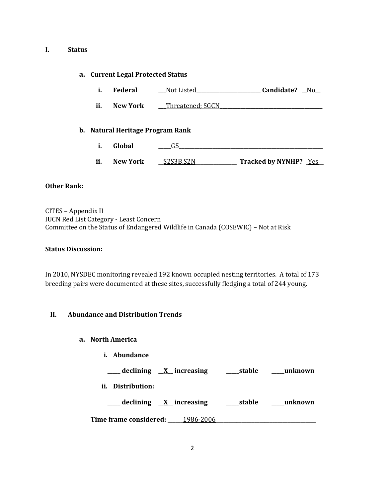#### **I. Status**

#### **a. Current Legal Protected Status**

- **i. Federal \_\_\_**Not Listed**\_\_\_\_\_\_\_\_\_\_\_\_\_\_\_\_\_\_\_\_\_\_\_\_\_ Candidate? \_\_**No**\_\_**
- ii. New York \_\_\_Threatened; SGCN

## **b. Natural Heritage Program Rank**

- **i. Global \_\_\_\_\_**G5**\_\_\_\_\_\_\_\_\_\_\_\_\_\_\_\_\_\_\_\_\_\_\_\_\_\_\_\_\_\_\_\_\_\_\_\_\_\_\_\_\_\_\_\_\_\_\_\_\_\_\_\_\_\_\_\_**
- **ii. New York \_\_**S2S3B,S2N**\_\_\_\_\_\_\_\_\_\_\_\_\_\_\_\_ Tracked by NYNHP? \_**Yes**\_\_**

## **Other Rank:**

CITES – Appendix II IUCN Red List Category - Least Concern Committee on the Status of Endangered Wildlife in Canada (COSEWIC) – Not at Risk

## **Status Discussion:**

In 2010, NYSDEC monitoring revealed 192 known occupied nesting territories. A total of 173 breeding pairs were documented at these sites, successfully fledging a total of 244 young.

## **II. Abundance and Distribution Trends**

## **a. North America**

**i. Abundance**

**\_\_\_\_\_ declining \_\_X\_\_ increasing \_\_\_\_\_stable \_\_\_\_\_unknown**

**ii. Distribution:**

**\_\_\_\_\_ declining \_\_X\_\_ increasing \_\_\_\_\_stable \_\_\_\_\_unknown**

**Time frame considered: \_\_\_\_\_\_**1986-2006**\_\_\_\_\_\_\_\_\_\_\_\_\_\_\_\_\_\_\_\_\_\_\_\_\_\_\_\_\_\_\_\_\_\_\_\_\_\_\_**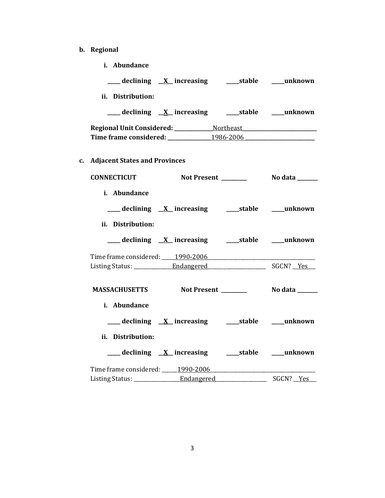**b. Regional**

| i. Abundance                                                                      |                                                                            |
|-----------------------------------------------------------------------------------|----------------------------------------------------------------------------|
| ___ declining <u>X</u> increasing ____ stable ____ unknown                        |                                                                            |
| ii. Distribution:                                                                 |                                                                            |
| ___ declining <u>X</u> increasing ____ stable ____ unknown                        |                                                                            |
| Time frame considered: _______________1986-2006 _________________________________ |                                                                            |
| c. Adjacent States and Provinces                                                  |                                                                            |
| CONNECTICUT Not Present ________ No data ______                                   |                                                                            |
| i. Abundance                                                                      |                                                                            |
|                                                                                   |                                                                            |
| ii. Distribution:                                                                 |                                                                            |
| ___ declining X increasing _______stable _____unknown                             |                                                                            |
|                                                                                   |                                                                            |
|                                                                                   |                                                                            |
| <b>MASSACHUSETTS</b> Not Present                                                  | No data ______                                                             |
| <i>i.</i> Abundance                                                               |                                                                            |
|                                                                                   |                                                                            |
| ii. Distribution:                                                                 |                                                                            |
|                                                                                   |                                                                            |
| Time frame considered: _____1990-2006                                             | the control of the control of the control of the control of the control of |
|                                                                                   | SGCN? <u>Yes</u>                                                           |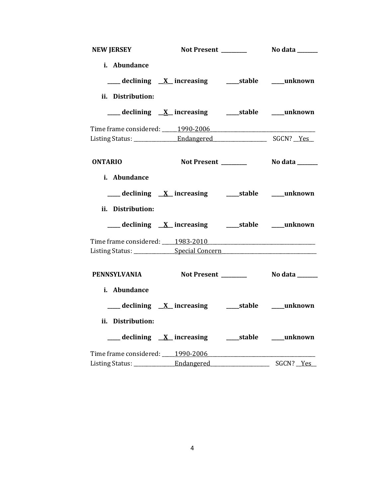| <b>NEW JERSEY</b>                                                                |                                                            |                                       |
|----------------------------------------------------------------------------------|------------------------------------------------------------|---------------------------------------|
| i. Abundance                                                                     |                                                            |                                       |
|                                                                                  | ___ declining <u>X</u> increasing ____ stable ____ unknown |                                       |
| ii. Distribution:                                                                |                                                            |                                       |
|                                                                                  |                                                            |                                       |
|                                                                                  |                                                            |                                       |
|                                                                                  |                                                            |                                       |
| <b>ONTARIO</b>                                                                   |                                                            |                                       |
| i. Abundance                                                                     |                                                            |                                       |
|                                                                                  | ___ declining <u>X</u> _increasing ____stable ____unknown  |                                       |
| ii. Distribution:                                                                |                                                            |                                       |
|                                                                                  | ___ declining X_ increasing _______stable _____unknown     |                                       |
| Time frame considered: 1983-2010                                                 |                                                            |                                       |
| Listing Status: ________________Special Concern_________________________________ |                                                            |                                       |
| PENNSYLVANIA Not Present ________                                                |                                                            | No data _______                       |
| i. Abundance                                                                     |                                                            |                                       |
|                                                                                  | ___ declining X_ increasing ____ stable ____ unknown       |                                       |
| ii. Distribution:                                                                |                                                            |                                       |
|                                                                                  |                                                            |                                       |
| Time frame considered: 1990-2006                                                 |                                                            |                                       |
|                                                                                  |                                                            | SGCN? Yes<br>$\overline{\phantom{0}}$ |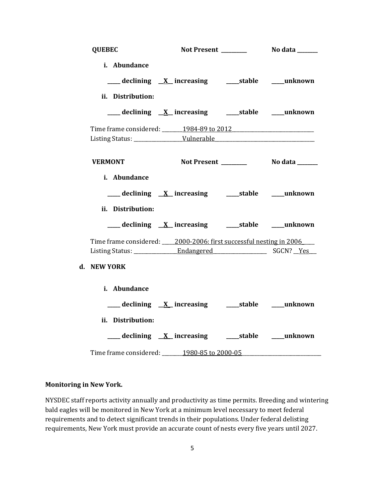| <b>QUEBEC</b>                                                           |                                                               |  |
|-------------------------------------------------------------------------|---------------------------------------------------------------|--|
| i. Abundance                                                            |                                                               |  |
|                                                                         | ___ declining X_ increasing _______stable _____unknown        |  |
| ii. Distribution:                                                       |                                                               |  |
|                                                                         | ____ declining <u>X</u> _increasing ______stable _____unknown |  |
|                                                                         |                                                               |  |
|                                                                         |                                                               |  |
| <b>VERMONT</b>                                                          |                                                               |  |
|                                                                         |                                                               |  |
| i. Abundance                                                            |                                                               |  |
|                                                                         | ___ declining <u>X</u> _increasing _____stable ____unknown    |  |
|                                                                         |                                                               |  |
| ii. Distribution:                                                       |                                                               |  |
|                                                                         |                                                               |  |
|                                                                         |                                                               |  |
| Time frame considered: ____ 2000-2006: first successful nesting in 2006 |                                                               |  |
| <b>NEW YORK</b>                                                         |                                                               |  |
| i. Abundance                                                            |                                                               |  |
|                                                                         | ___ declining <u>X</u> increasing ____ stable ____ unknown    |  |
| ii. Distribution:                                                       |                                                               |  |
|                                                                         | ___declining <u>X</u> increasing _____stable ____unknown      |  |

## **Monitoring in New York.**

**d. NEW YORK**

NYSDEC staff reports activity annually and productivity as time permits. Breeding and wintering bald eagles will be monitored in New York at a minimum level necessary to meet federal requirements and to detect significant trends in their populations. Under federal delisting requirements, New York must provide an accurate count of nests every five years until 2027.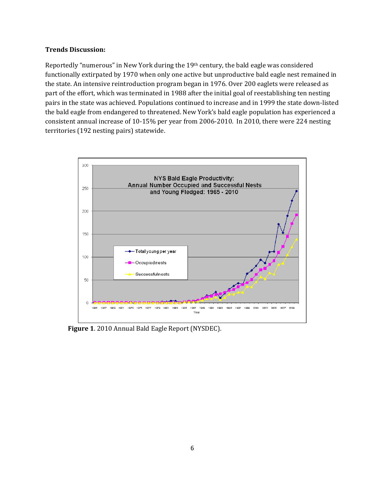#### **Trends Discussion:**

Reportedly "numerous" in New York during the 19th century, the bald eagle was considered functionally extirpated by 1970 when only one active but unproductive bald eagle nest remained in the state. An intensive reintroduction program began in 1976. Over 200 eaglets were released as part of the effort, which was terminated in 1988 after the initial goal of reestablishing ten nesting pairs in the state was achieved. Populations continued to increase and in 1999 the state down-listed the bald eagle from endangered to threatened. New York's bald eagle population has experienced a consistent annual increase of 10-15% per year from 2006-2010. In 2010, there were 224 nesting territories (192 nesting pairs) statewide.



**Figure 1**. 2010 Annual Bald Eagle Report (NYSDEC).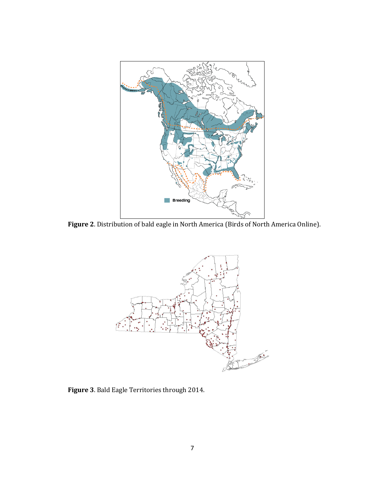

**Figure 2**. Distribution of bald eagle in North America (Birds of North America Online).



**Figure 3**. Bald Eagle Territories through 2014.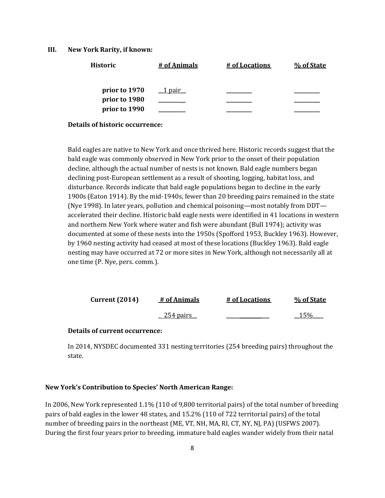#### **III. New York Rarity, if known:**

| <b>Historic</b>                | # of Animals | # of Locations | % of State |
|--------------------------------|--------------|----------------|------------|
| prior to 1970                  | 1 pair       |                |            |
| prior to 1980<br>prior to 1990 |              |                |            |
|                                |              |                |            |

**Details of historic occurrence:**

Bald eagles are native to New York and once thrived here. Historic records suggest that the bald eagle was commonly observed in New York prior to the onset of their population decline, although the actual number of nests is not known. Bald eagle numbers began declining post-European settlement as a result of shooting, logging, habitat loss, and disturbance. Records indicate that bald eagle populations began to decline in the early 1900s (Eaton 1914). By the mid-1940s, fewer than 20 breeding pairs remained in the state (Nye 1998). In later years, pollution and chemical poisoning—most notably from DDT accelerated their decline. Historic bald eagle nests were identified in 41 locations in western and northern New York where water and fish were abundant (Bull 1974); activity was documented at some of these nests into the 1950s (Spofford 1953, Buckley 1963). However, by 1960 nesting activity had ceased at most of these locations (Buckley 1963). Bald eagle nesting may have occurred at 72 or more sites in New York, although not necessarily all at one time (P. Nye, pers. comm.).

| Current $(2014)$ | # of Animals       | # of Locations | % of State |
|------------------|--------------------|----------------|------------|
|                  | <u>. 254 pairs</u> |                | 15%        |

#### **Details of current occurrence:**

In 2014, NYSDEC documented 331 nesting territories (254 breeding pairs) throughout the state.

#### **New York's Contribution to Species' North American Range:**

In 2006, New York represented 1.1% (110 of 9,800 territorial pairs) of the total number of breeding pairs of bald eagles in the lower 48 states, and 15.2% (110 of 722 territorial pairs) of the total number of breeding pairs in the northeast (ME, VT, NH, MA, RI, CT, NY, NJ, PA) (USFWS 2007). During the first four years prior to breeding, immature bald eagles wander widely from their natal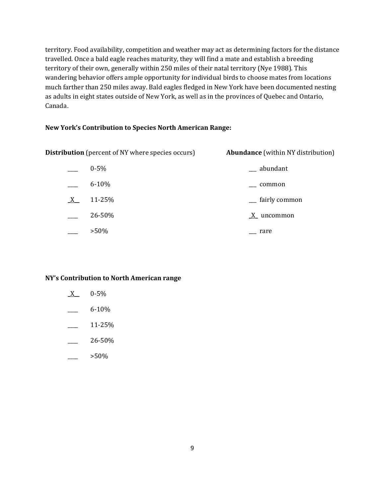territory. Food availability, competition and weather may act as determining factors for the distance travelled. Once a bald eagle reaches maturity, they will find a mate and establish a breeding territory of their own, generally within 250 miles of their natal territory (Nye 1988). This wandering behavior offers ample opportunity for individual birds to choose mates from locations much farther than 250 miles away. Bald eagles fledged in New York have been documented nesting as adults in eight states outside of New York, as well as in the provinces of Quebec and Ontario, Canada.

## **New York's Contribution to Species North American Range:**

| <b>Distribution</b> (percent of NY where species occurs) |           | <b>Abundance</b> (within NY distribution) |  |
|----------------------------------------------------------|-----------|-------------------------------------------|--|
|                                                          | $0 - 5\%$ | __ abundant                               |  |
|                                                          | $6 - 10%$ | common                                    |  |
| X                                                        | 11-25%    | <sub>__</sub> fairly common               |  |
|                                                          | 26-50%    | $\underline{X}$ uncommon                  |  |
|                                                          | $>50\%$   | rare                                      |  |

## **NY's Contribution to North American range**

- $X = 0.5\%$
- \_\_\_\_ 6-10%
- \_\_\_\_ 11-25%
- \_\_\_\_ 26-50%
- \_\_\_\_ >50%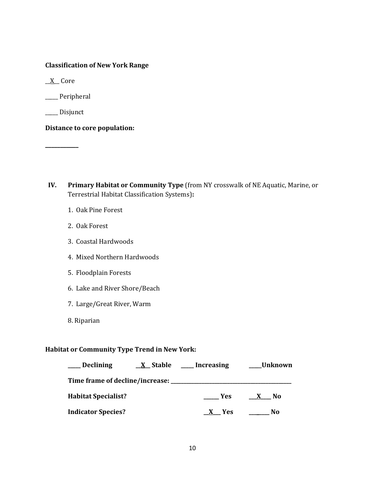## **Classification of New York Range**

 $X$  Core

\_\_\_\_\_ Peripheral

\_\_\_\_\_ Disjunct

**\_\_\_\_\_\_\_\_\_\_\_**

**Distance to core population:**

- **IV. Primary Habitat or Community Type** (from NY crosswalk of NE Aquatic, Marine, or Terrestrial Habitat Classification Systems)**:** 
	- 1. Oak Pine Forest
	- 2. Oak Forest
	- 3. Coastal Hardwoods
	- 4. Mixed Northern Hardwoods
	- 5. Floodplain Forests
	- 6. Lake and River Shore/Beach
	- 7. Large/Great River, Warm
	- 8. Riparian

## **Habitat or Community Type Trend in New York:**

| <b>Declining</b>                | <u>X</u> Stable | Increasing | <b>Unknown</b> |
|---------------------------------|-----------------|------------|----------------|
| Time frame of decline/increase: |                 |            |                |
| <b>Habitat Specialist?</b>      |                 | <b>Yes</b> | No             |
| <b>Indicator Species?</b>       |                 | <b>Yes</b> | No             |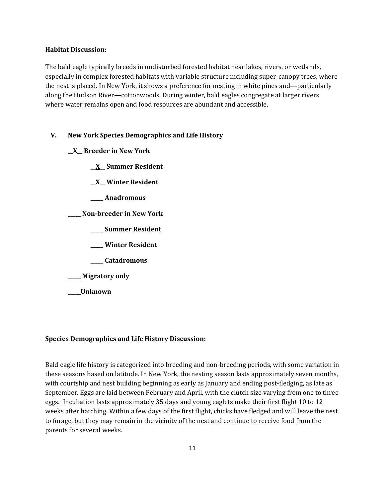#### **Habitat Discussion:**

The bald eagle typically breeds in undisturbed forested habitat near lakes, rivers, or wetlands, especially in complex forested habitats with variable structure including super-canopy trees, where the nest is placed. In New York, it shows a preference for nesting in white pines and—particularly along the Hudson River—cottonwoods. During winter, bald eagles congregate at larger rivers where water remains open and food resources are abundant and accessible.

## **V. New York Species Demographics and Life History**

- **\_\_X\_\_ Breeder in New York**
	- **\_\_X\_\_ Summer Resident**
	- **\_\_X\_\_ Winter Resident**
	- **\_\_\_\_\_ Anadromous**
- **\_\_\_\_\_ Non-breeder in New York**
	- **\_\_\_\_\_ Summer Resident**
	- **\_\_\_\_\_ Winter Resident**
	- **\_\_\_\_\_ Catadromous**
- **\_\_\_\_\_ Migratory only**
- **\_\_\_\_\_Unknown**

## **Species Demographics and Life History Discussion:**

Bald eagle life history is categorized into breeding and non-breeding periods, with some variation in these seasons based on latitude. In New York, the nesting season lasts approximately seven months, with courtship and nest building beginning as early as January and ending post-fledging, as late as September. Eggs are laid between February and April, with the clutch size varying from one to three eggs. Incubation lasts approximately 35 days and young eaglets make their first flight 10 to 12 weeks after hatching. Within a few days of the first flight, chicks have fledged and will leave the nest to forage, but they may remain in the vicinity of the nest and continue to receive food from the parents for several weeks.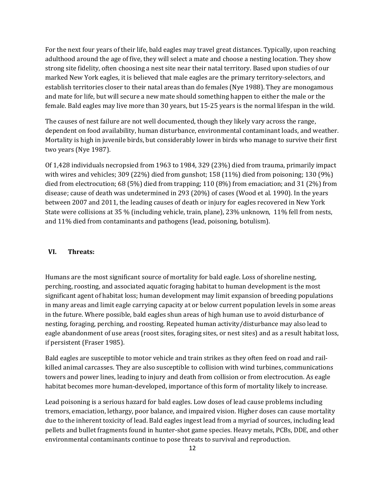For the next four years of their life, bald eagles may travel great distances. Typically, upon reaching adulthood around the age of five, they will select a mate and choose a nesting location. They show strong site fidelity, often choosing a nest site near their natal territory. Based upon studies of our marked New York eagles, it is believed that male eagles are the primary territory-selectors, and establish territories closer to their natal areas than do females (Nye 1988). They are monogamous and mate for life, but will secure a new mate should something happen to either the male or the female. Bald eagles may live more than 30 years, but 15-25 years is the normal lifespan in the wild.

The causes of nest failure are not well documented, though they likely vary across the range, dependent on food availability, human disturbance, environmental contaminant loads, and weather. Mortality is high in juvenile birds, but considerably lower in birds who manage to survive their first two years (Nye 1987).

Of 1,428 individuals necropsied from 1963 to 1984, 329 (23%) died from trauma, primarily impact with wires and vehicles; 309 (22%) died from gunshot; 158 (11%) died from poisoning; 130 (9%) died from electrocution; 68 (5%) died from trapping; 110 (8%) from emaciation; and 31 (2%) from disease; cause of death was undetermined in 293 (20%) of cases (Wood et al. 1990). In the years between 2007 and 2011, the leading causes of death or injury for eagles recovered in New York State were collisions at 35 % (including vehicle, train, plane), 23% unknown, 11% fell from nests, and 11% died from contaminants and pathogens (lead, poisoning, botulism).

#### **VI. Threats:**

Humans are the most significant source of mortality for bald eagle. Loss of shoreline nesting, perching, roosting, and associated aquatic foraging habitat to human development is the most significant agent of habitat loss; human development may limit expansion of breeding populations in many areas and limit eagle carrying capacity at or below current population levels in some areas in the future. Where possible, bald eagles shun areas of high human use to avoid disturbance of nesting, foraging, perching, and roosting. Repeated human activity/disturbance may also lead to eagle abandonment of use areas (roost sites, foraging sites, or nest sites) and as a result habitat loss, if persistent (Fraser 1985).

Bald eagles are susceptible to motor vehicle and train strikes as they often feed on road and railkilled animal carcasses. They are also susceptible to collision with wind turbines, communications towers and power lines, leading to injury and death from collision or from electrocution. As eagle habitat becomes more human-developed, importance of this form of mortality likely to increase.

Lead poisoning is a serious hazard for bald eagles. Low doses of lead cause problems including tremors, emaciation, lethargy, poor balance, and impaired vision. Higher doses can cause mortality due to the inherent toxicity of lead. Bald eagles ingest lead from a myriad of sources, including lead pellets and bullet fragments found in hunter-shot game species. Heavy metals, PCBs, DDE, and other environmental contaminants continue to pose threats to survival and reproduction.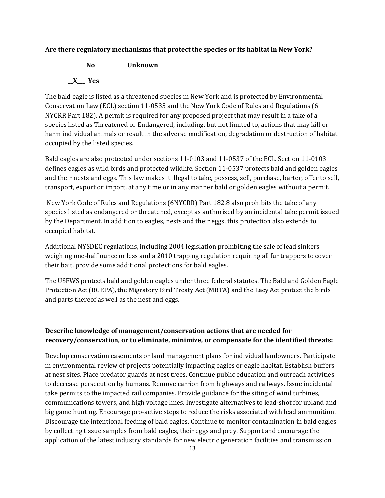#### **Are there regulatory mechanisms that protect the species or its habitat in New York?**

**\_\_\_\_\_\_ No \_\_\_\_\_ Unknown \_\_X\_\_\_ Yes**

The bald eagle is listed as a threatened species in New York and is protected by Environmental Conservation Law (ECL) section 11-0535 and the New York Code of Rules and Regulations (6 NYCRR Part 182). A permit is required for any proposed project that may result in a take of a species listed as Threatened or Endangered, including, but not limited to, actions that may kill or harm individual animals or result in the adverse modification, degradation or destruction of habitat occupied by the listed species.

Bald eagles are also protected under sections 11-0103 and 11-0537 of the ECL. Section 11-0103 defines eagles as wild birds and protected wildlife. Section 11-0537 protects bald and golden eagles and their nests and eggs. This law makes it illegal to take, possess, sell, purchase, barter, offer to sell, transport, export or import, at any time or in any manner bald or golden eagles without a permit.

New York Code of Rules and Regulations (6NYCRR) Part 182.8 also prohibits the take of any species listed as endangered or threatened, except as authorized by an incidental take permit issued by the Department. In addition to eagles, nests and their eggs, this protection also extends to occupied habitat.

Additional NYSDEC regulations, including 2004 legislation prohibiting the sale of lead sinkers weighing one-half ounce or less and a 2010 trapping regulation requiring all fur trappers to cover their bait, provide some additional protections for bald eagles.

The USFWS protects bald and golden eagles under three federal statutes. The Bald and Golden Eagle Protection Act (BGEPA), the Migratory Bird Treaty Act (MBTA) and the Lacy Act protect the birds and parts thereof as well as the nest and eggs.

## **Describe knowledge of management/conservation actions that are needed for recovery/conservation, or to eliminate, minimize, or compensate for the identified threats:**

Develop conservation easements or land management plans for individual landowners. Participate in environmental review of projects potentially impacting eagles or eagle habitat. Establish buffers at nest sites. Place predator guards at nest trees. Continue public education and outreach activities to decrease persecution by humans. Remove carrion from highways and railways. Issue incidental take permits to the impacted rail companies. Provide guidance for the siting of wind turbines, communications towers, and high voltage lines. Investigate alternatives to lead-shot for upland and big game hunting. Encourage pro-active steps to reduce the risks associated with lead ammunition. Discourage the intentional feeding of bald eagles. Continue to monitor contamination in bald eagles by collecting tissue samples from bald eagles, their eggs and prey. Support and encourage the application of the latest industry standards for new electric generation facilities and transmission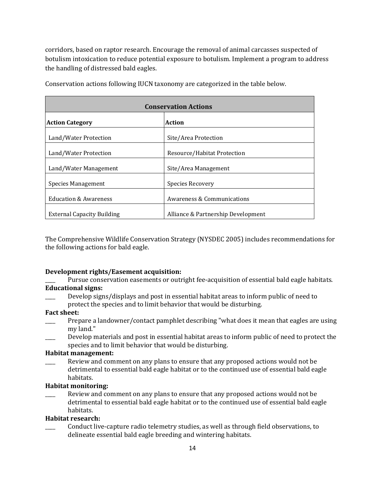corridors, based on raptor research. Encourage the removal of animal carcasses suspected of botulism intoxication to reduce potential exposure to botulism. Implement a program to address the handling of distressed bald eagles.

| <b>Conservation Actions</b>             |                                    |  |
|-----------------------------------------|------------------------------------|--|
| <b>Action</b><br><b>Action Category</b> |                                    |  |
| Land/Water Protection                   | Site/Area Protection               |  |
| Land/Water Protection                   | Resource/Habitat Protection        |  |
| Land/Water Management                   | Site/Area Management               |  |
| Species Management                      | Species Recovery                   |  |
| <b>Education &amp; Awareness</b>        | Awareness & Communications         |  |
| <b>External Capacity Building</b>       | Alliance & Partnership Development |  |

Conservation actions following IUCN taxonomy are categorized in the table below.

The Comprehensive Wildlife Conservation Strategy (NYSDEC 2005) includes recommendations for the following actions for bald eagle.

#### **Development rights/Easement acquisition:**

## Pursue conservation easements or outright fee-acquisition of essential bald eagle habitats. **Educational signs:**

\_\_\_\_ Develop signs/displays and post in essential habitat areas to inform public of need to protect the species and to limit behavior that would be disturbing.

#### **Fact sheet:**

- Prepare a landowner/contact pamphlet describing "what does it mean that eagles are using my land."
- \_\_\_\_ Develop materials and post in essential habitat areas to inform public of need to protect the species and to limit behavior that would be disturbing.

#### **Habitat management:**

Review and comment on any plans to ensure that any proposed actions would not be detrimental to essential bald eagle habitat or to the continued use of essential bald eagle habitats.

#### **Habitat monitoring:**

\_\_\_\_ Review and comment on any plans to ensure that any proposed actions would not be detrimental to essential bald eagle habitat or to the continued use of essential bald eagle habitats.

## **Habitat research:**

\_\_\_\_ Conduct live-capture radio telemetry studies, as well as through field observations, to delineate essential bald eagle breeding and wintering habitats.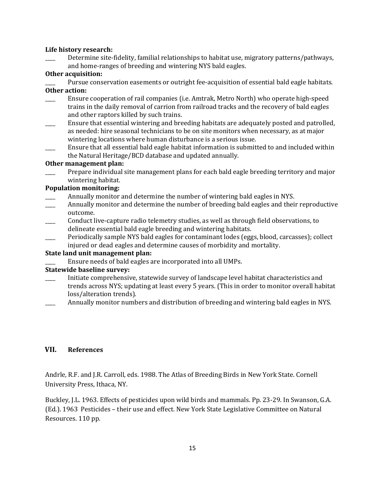#### **Life history research:**

Determine site-fidelity, familial relationships to habitat use, migratory patterns/pathways, and home-ranges of breeding and wintering NYS bald eagles.

#### **Other acquisition:**

Pursue conservation easements or outright fee-acquisition of essential bald eagle habitats. **Other action:**

- \_\_\_\_ Ensure cooperation of rail companies (i.e. Amtrak, Metro North) who operate high-speed trains in the daily removal of carrion from railroad tracks and the recovery of bald eagles and other raptors killed by such trains.
- Ensure that essential wintering and breeding habitats are adequately posted and patrolled, as needed: hire seasonal technicians to be on site monitors when necessary, as at major wintering locations where human disturbance is a serious issue.
- \_\_\_\_ Ensure that all essential bald eagle habitat information is submitted to and included within the Natural Heritage/BCD database and updated annually.

#### **Other management plan:**

Prepare individual site management plans for each bald eagle breeding territory and major wintering habitat.

## **Population monitoring:**

- Annually monitor and determine the number of wintering bald eagles in NYS.
- Annually monitor and determine the number of breeding bald eagles and their reproductive outcome.
- \_\_\_\_ Conduct live-capture radio telemetry studies, as well as through field observations, to delineate essential bald eagle breeding and wintering habitats.
- \_\_\_\_ Periodically sample NYS bald eagles for contaminant lodes (eggs, blood, carcasses); collect injured or dead eagles and determine causes of morbidity and mortality.

## **State land unit management plan:**

Ensure needs of bald eagles are incorporated into all UMPs.

## **Statewide baseline survey:**

- \_\_\_\_ Initiate comprehensive, statewide survey of landscape level habitat characteristics and trends across NYS; updating at least every 5 years. (This in order to monitor overall habitat loss/alteration trends).
- Annually monitor numbers and distribution of breeding and wintering bald eagles in NYS.

## **VII. References**

Andrle, R.F. and J.R. Carroll, eds. 1988. The Atlas of Breeding Birds in New York State. Cornell University Press, Ithaca, NY.

Buckley, J.L. 1963. Effects of pesticides upon wild birds and mammals. Pp. 23-29. In Swanson, G.A. (Ed.). 1963 Pesticides – their use and effect. New York State Legislative Committee on Natural Resources. 110 pp.